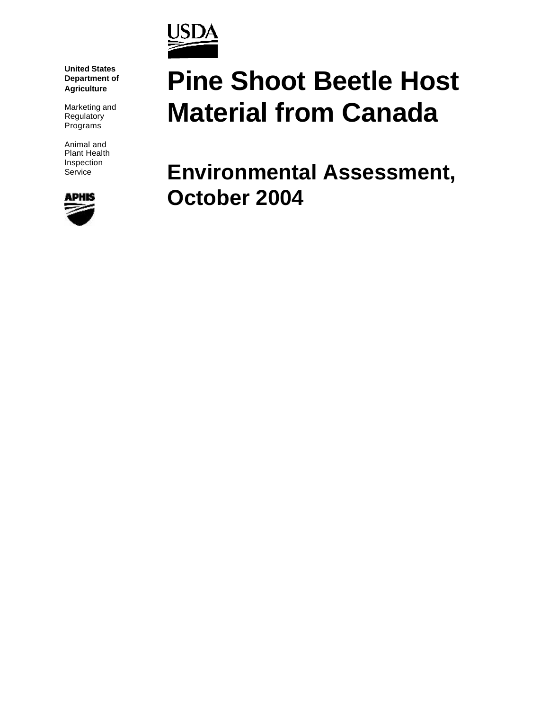

**United States Department of Agriculture**

Marketing and **Regulatory** Programs

Animal and Plant Health Inspection Service



# **Pine Shoot Beetle Host Material from Canada**

**Environmental Assessment, October 2004**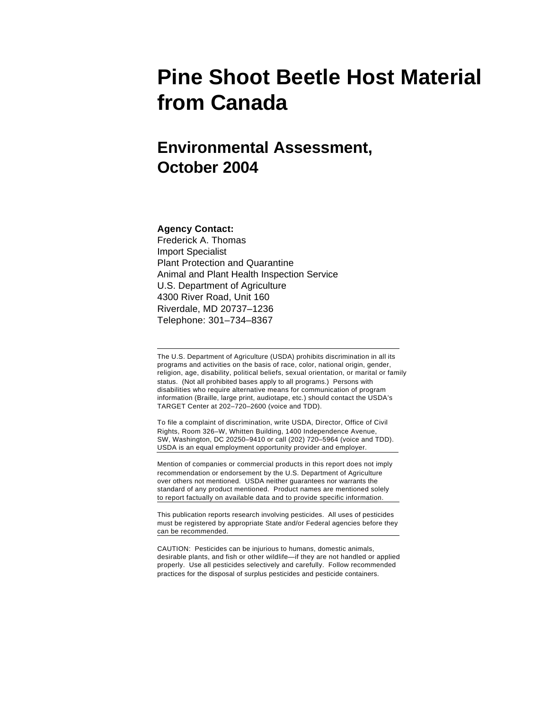## **Pine Shoot Beetle Host Material from Canada**

### **Environmental Assessment, October 2004**

#### **Agency Contact:**

Frederick A. Thomas Import Specialist Plant Protection and Quarantine Animal and Plant Health Inspection Service U.S. Department of Agriculture 4300 River Road, Unit 160 Riverdale, MD 20737–1236 Telephone: 301–734–8367

The U.S. Department of Agriculture (USDA) prohibits discrimination in all its programs and activities on the basis of race, color, national origin, gender, religion, age, disability, political beliefs, sexual orientation, or marital or family status. (Not all prohibited bases apply to all programs.) Persons with disabilities who require alternative means for communication of program information (Braille, large print, audiotape, etc.) should contact the USDA's TARGET Center at 202–720–2600 (voice and TDD).

To file a complaint of discrimination, write USDA, Director, Office of Civil Rights, Room 326–W, Whitten Building, 1400 Independence Avenue, SW, Washington, DC 20250–9410 or call (202) 720–5964 (voice and TDD). USDA is an equal employment opportunity provider and employer.

Mention of companies or commercial products in this report does not imply recommendation or endorsement by the U.S. Department of Agriculture over others not mentioned. USDA neither guarantees nor warrants the standard of any product mentioned. Product names are mentioned solely to report factually on available data and to provide specific information.

This publication reports research involving pesticides. All uses of pesticides must be registered by appropriate State and/or Federal agencies before they can be recommended.

CAUTION: Pesticides can be injurious to humans, domestic animals, desirable plants, and fish or other wildlife—if they are not handled or applied properly. Use all pesticides selectively and carefully. Follow recommended practices for the disposal of surplus pesticides and pesticide containers.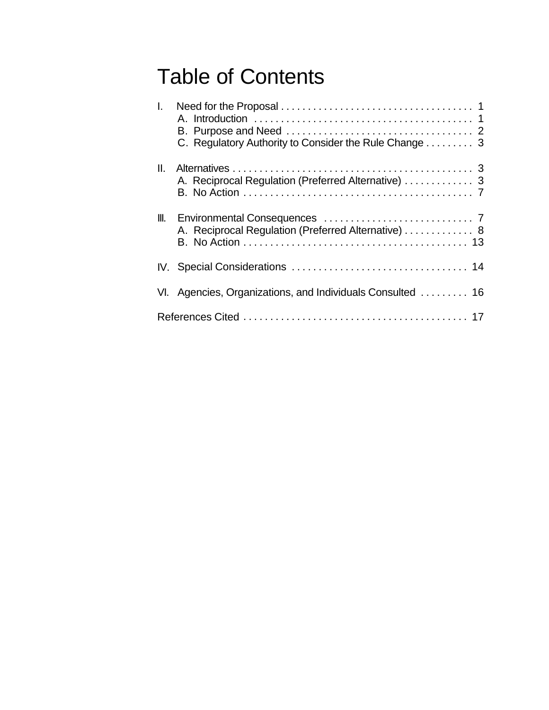## Table of Contents

| $\mathbf{L}$    | C. Regulatory Authority to Consider the Rule Change  3     |
|-----------------|------------------------------------------------------------|
| $\mathbf{II}$ . | A. Reciprocal Regulation (Preferred Alternative)  3        |
|                 | A. Reciprocal Regulation (Preferred Alternative)  8        |
|                 |                                                            |
|                 | VI. Agencies, Organizations, and Individuals Consulted  16 |
|                 |                                                            |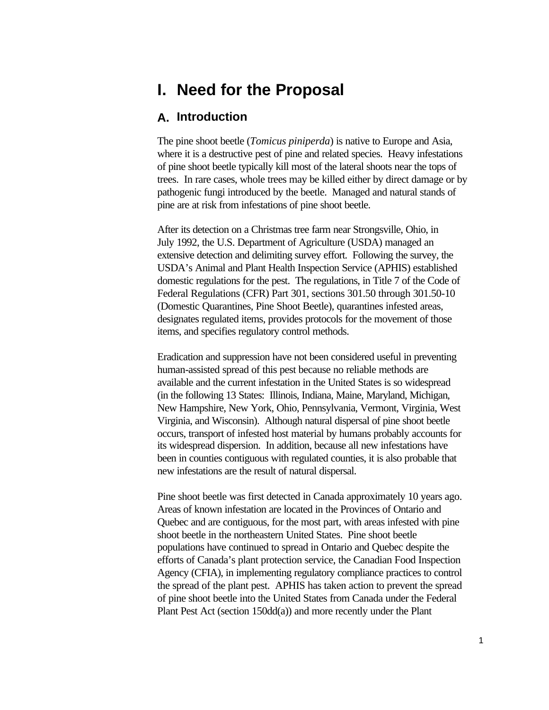### **I. Need for the Proposal**

#### **A. Introduction**

The pine shoot beetle (*Tomicus piniperda*) is native to Europe and Asia, where it is a destructive pest of pine and related species. Heavy infestations of pine shoot beetle typically kill most of the lateral shoots near the tops of trees. In rare cases, whole trees may be killed either by direct damage or by pathogenic fungi introduced by the beetle. Managed and natural stands of pine are at risk from infestations of pine shoot beetle.

After its detection on a Christmas tree farm near Strongsville, Ohio, in July 1992, the U.S. Department of Agriculture (USDA) managed an extensive detection and delimiting survey effort. Following the survey, the USDA's Animal and Plant Health Inspection Service (APHIS) established domestic regulations for the pest. The regulations, in Title 7 of the Code of Federal Regulations (CFR) Part 301, sections 301.50 through 301.50-10 (Domestic Quarantines, Pine Shoot Beetle), quarantines infested areas, designates regulated items, provides protocols for the movement of those items, and specifies regulatory control methods.

Eradication and suppression have not been considered useful in preventing human-assisted spread of this pest because no reliable methods are available and the current infestation in the United States is so widespread (in the following 13 States: Illinois, Indiana, Maine, Maryland, Michigan, New Hampshire, New York, Ohio, Pennsylvania, Vermont, Virginia, West Virginia, and Wisconsin). Although natural dispersal of pine shoot beetle occurs, transport of infested host material by humans probably accounts for its widespread dispersion. In addition, because all new infestations have been in counties contiguous with regulated counties, it is also probable that new infestations are the result of natural dispersal.

Pine shoot beetle was first detected in Canada approximately 10 years ago. Areas of known infestation are located in the Provinces of Ontario and Quebec and are contiguous, for the most part, with areas infested with pine shoot beetle in the northeastern United States. Pine shoot beetle populations have continued to spread in Ontario and Quebec despite the efforts of Canada's plant protection service, the Canadian Food Inspection Agency (CFIA), in implementing regulatory compliance practices to control the spread of the plant pest. APHIS has taken action to prevent the spread of pine shoot beetle into the United States from Canada under the Federal Plant Pest Act (section 150dd(a)) and more recently under the Plant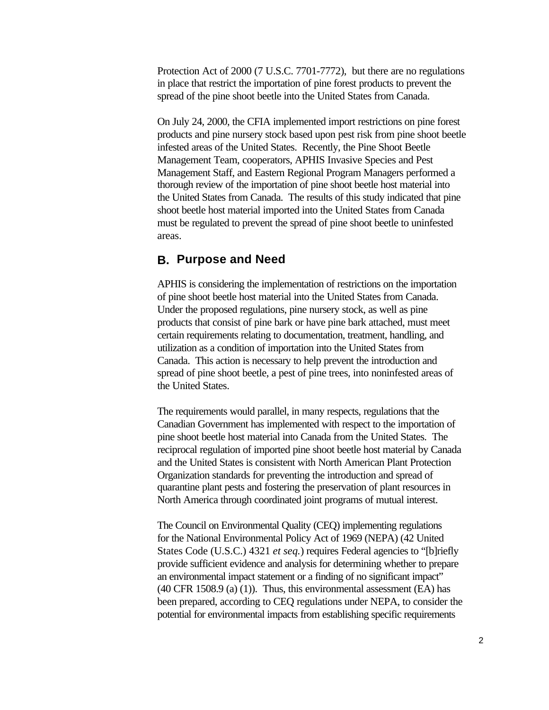Protection Act of 2000 (7 U.S.C. 7701-7772), but there are no regulations in place that restrict the importation of pine forest products to prevent the spread of the pine shoot beetle into the United States from Canada.

On July 24, 2000, the CFIA implemented import restrictions on pine forest products and pine nursery stock based upon pest risk from pine shoot beetle infested areas of the United States. Recently, the Pine Shoot Beetle Management Team, cooperators, APHIS Invasive Species and Pest Management Staff, and Eastern Regional Program Managers performed a thorough review of the importation of pine shoot beetle host material into the United States from Canada. The results of this study indicated that pine shoot beetle host material imported into the United States from Canada must be regulated to prevent the spread of pine shoot beetle to uninfested areas.

#### **B. Purpose and Need**

APHIS is considering the implementation of restrictions on the importation of pine shoot beetle host material into the United States from Canada. Under the proposed regulations, pine nursery stock, as well as pine products that consist of pine bark or have pine bark attached, must meet certain requirements relating to documentation, treatment, handling, and utilization as a condition of importation into the United States from Canada. This action is necessary to help prevent the introduction and spread of pine shoot beetle, a pest of pine trees, into noninfested areas of the United States.

The requirements would parallel, in many respects, regulations that the Canadian Government has implemented with respect to the importation of pine shoot beetle host material into Canada from the United States. The reciprocal regulation of imported pine shoot beetle host material by Canada and the United States is consistent with North American Plant Protection Organization standards for preventing the introduction and spread of quarantine plant pests and fostering the preservation of plant resources in North America through coordinated joint programs of mutual interest.

The Council on Environmental Quality (CEQ) implementing regulations for the National Environmental Policy Act of 1969 (NEPA) (42 United States Code (U.S.C.) 4321 *et seq.*) requires Federal agencies to "[b]riefly provide sufficient evidence and analysis for determining whether to prepare an environmental impact statement or a finding of no significant impact"  $(40 \text{ CFR } 1508.9 \text{ (a) (1)}).$  Thus, this environmental assessment  $(EA)$  has been prepared, according to CEQ regulations under NEPA, to consider the potential for environmental impacts from establishing specific requirements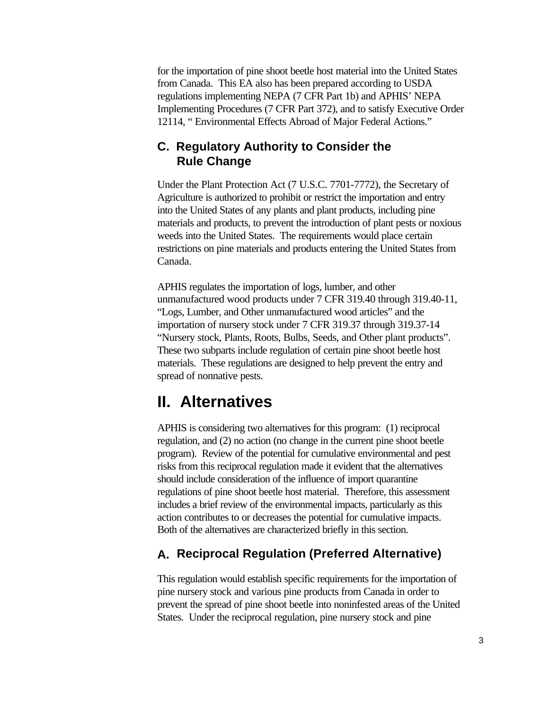for the importation of pine shoot beetle host material into the United States from Canada. This EA also has been prepared according to USDA regulations implementing NEPA (7 CFR Part 1b) and APHIS' NEPA Implementing Procedures (7 CFR Part 372), and to satisfy Executive Order 12114, " Environmental Effects Abroad of Major Federal Actions."

#### **C. Regulatory Authority to Consider the Rule Change**

Under the Plant Protection Act (7 U.S.C. 7701-7772), the Secretary of Agriculture is authorized to prohibit or restrict the importation and entry into the United States of any plants and plant products, including pine materials and products, to prevent the introduction of plant pests or noxious weeds into the United States. The requirements would place certain restrictions on pine materials and products entering the United States from Canada.

APHIS regulates the importation of logs, lumber, and other unmanufactured wood products under 7 CFR 319.40 through 319.40-11, "Logs, Lumber, and Other unmanufactured wood articles" and the importation of nursery stock under 7 CFR 319.37 through 319.37-14 "Nursery stock, Plants, Roots, Bulbs, Seeds, and Other plant products". These two subparts include regulation of certain pine shoot beetle host materials. These regulations are designed to help prevent the entry and spread of nonnative pests.

### **II. Alternatives**

APHIS is considering two alternatives for this program: (1) reciprocal regulation, and (2) no action (no change in the current pine shoot beetle program). Review of the potential for cumulative environmental and pest risks from this reciprocal regulation made it evident that the alternatives should include consideration of the influence of import quarantine regulations of pine shoot beetle host material. Therefore, this assessment includes a brief review of the environmental impacts, particularly as this action contributes to or decreases the potential for cumulative impacts. Both of the alternatives are characterized briefly in this section.

#### **A. Reciprocal Regulation (Preferred Alternative)**

This regulation would establish specific requirements for the importation of pine nursery stock and various pine products from Canada in order to prevent the spread of pine shoot beetle into noninfested areas of the United States. Under the reciprocal regulation, pine nursery stock and pine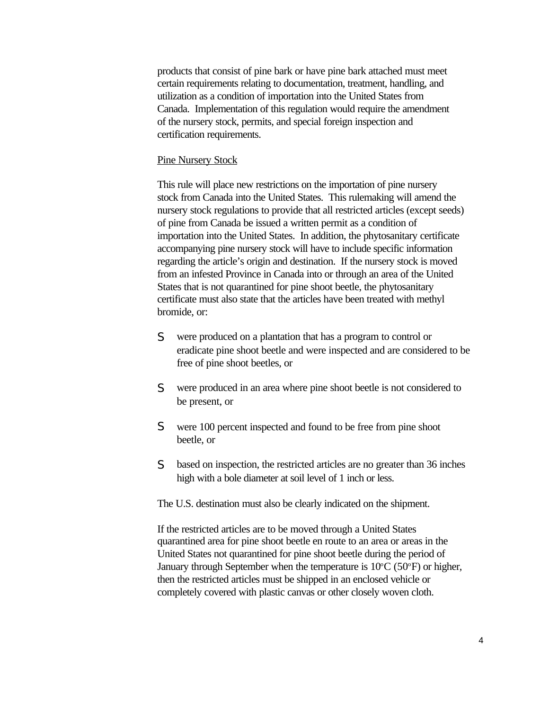products that consist of pine bark or have pine bark attached must meet certain requirements relating to documentation, treatment, handling, and utilization as a condition of importation into the United States from Canada. Implementation of this regulation would require the amendment of the nursery stock, permits, and special foreign inspection and certification requirements.

#### Pine Nursery Stock

This rule will place new restrictions on the importation of pine nursery stock from Canada into the United States. This rulemaking will amend the nursery stock regulations to provide that all restricted articles (except seeds) of pine from Canada be issued a written permit as a condition of importation into the United States. In addition, the phytosanitary certificate accompanying pine nursery stock will have to include specific information regarding the article's origin and destination. If the nursery stock is moved from an infested Province in Canada into or through an area of the United States that is not quarantined for pine shoot beetle, the phytosanitary certificate must also state that the articles have been treated with methyl bromide, or:

- S were produced on a plantation that has a program to control or eradicate pine shoot beetle and were inspected and are considered to be free of pine shoot beetles, or
- S were produced in an area where pine shoot beetle is not considered to be present, or
- S were 100 percent inspected and found to be free from pine shoot beetle, or
- S based on inspection, the restricted articles are no greater than 36 inches high with a bole diameter at soil level of 1 inch or less.

The U.S. destination must also be clearly indicated on the shipment.

If the restricted articles are to be moved through a United States quarantined area for pine shoot beetle en route to an area or areas in the United States not quarantined for pine shoot beetle during the period of January through September when the temperature is  $10^{\circ}$ C (50 $^{\circ}$ F) or higher, then the restricted articles must be shipped in an enclosed vehicle or completely covered with plastic canvas or other closely woven cloth.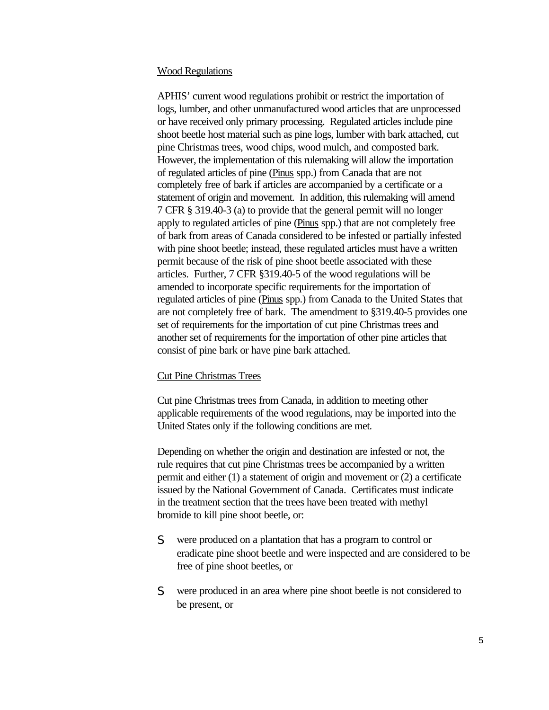#### Wood Regulations

APHIS' current wood regulations prohibit or restrict the importation of logs, lumber, and other unmanufactured wood articles that are unprocessed or have received only primary processing. Regulated articles include pine shoot beetle host material such as pine logs, lumber with bark attached, cut pine Christmas trees, wood chips, wood mulch, and composted bark. However, the implementation of this rulemaking will allow the importation of regulated articles of pine (Pinus spp.) from Canada that are not completely free of bark if articles are accompanied by a certificate or a statement of origin and movement. In addition, this rulemaking will amend 7 CFR § 319.40-3 (a) to provide that the general permit will no longer apply to regulated articles of pine (Pinus spp.) that are not completely free of bark from areas of Canada considered to be infested or partially infested with pine shoot beetle; instead, these regulated articles must have a written permit because of the risk of pine shoot beetle associated with these articles. Further, 7 CFR §319.40-5 of the wood regulations will be amended to incorporate specific requirements for the importation of regulated articles of pine (Pinus spp.) from Canada to the United States that are not completely free of bark. The amendment to §319.40-5 provides one set of requirements for the importation of cut pine Christmas trees and another set of requirements for the importation of other pine articles that consist of pine bark or have pine bark attached.

#### Cut Pine Christmas Trees

Cut pine Christmas trees from Canada, in addition to meeting other applicable requirements of the wood regulations, may be imported into the United States only if the following conditions are met.

Depending on whether the origin and destination are infested or not, the rule requires that cut pine Christmas trees be accompanied by a written permit and either (1) a statement of origin and movement or (2) a certificate issued by the National Government of Canada. Certificates must indicate in the treatment section that the trees have been treated with methyl bromide to kill pine shoot beetle, or:

- S were produced on a plantation that has a program to control or eradicate pine shoot beetle and were inspected and are considered to be free of pine shoot beetles, or
- S were produced in an area where pine shoot beetle is not considered to be present, or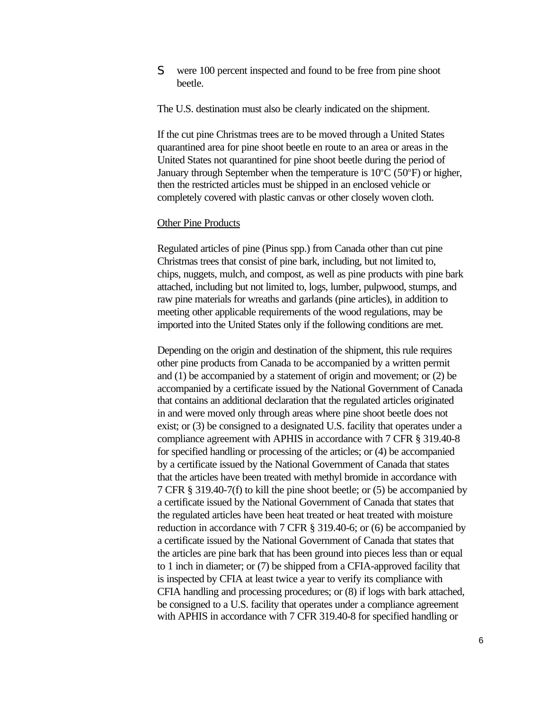S were 100 percent inspected and found to be free from pine shoot beetle.

The U.S. destination must also be clearly indicated on the shipment.

If the cut pine Christmas trees are to be moved through a United States quarantined area for pine shoot beetle en route to an area or areas in the United States not quarantined for pine shoot beetle during the period of January through September when the temperature is  $10^{\circ}$ C (50 $^{\circ}$ F) or higher, then the restricted articles must be shipped in an enclosed vehicle or completely covered with plastic canvas or other closely woven cloth.

#### **Other Pine Products**

Regulated articles of pine (Pinus spp.) from Canada other than cut pine Christmas trees that consist of pine bark, including, but not limited to, chips, nuggets, mulch, and compost, as well as pine products with pine bark attached, including but not limited to, logs, lumber, pulpwood, stumps, and raw pine materials for wreaths and garlands (pine articles), in addition to meeting other applicable requirements of the wood regulations, may be imported into the United States only if the following conditions are met.

Depending on the origin and destination of the shipment, this rule requires other pine products from Canada to be accompanied by a written permit and (1) be accompanied by a statement of origin and movement; or (2) be accompanied by a certificate issued by the National Government of Canada that contains an additional declaration that the regulated articles originated in and were moved only through areas where pine shoot beetle does not exist; or (3) be consigned to a designated U.S. facility that operates under a compliance agreement with APHIS in accordance with 7 CFR § 319.40-8 for specified handling or processing of the articles; or (4) be accompanied by a certificate issued by the National Government of Canada that states that the articles have been treated with methyl bromide in accordance with 7 CFR § 319.40-7(f) to kill the pine shoot beetle; or (5) be accompanied by a certificate issued by the National Government of Canada that states that the regulated articles have been heat treated or heat treated with moisture reduction in accordance with 7 CFR § 319.40-6; or (6) be accompanied by a certificate issued by the National Government of Canada that states that the articles are pine bark that has been ground into pieces less than or equal to 1 inch in diameter; or (7) be shipped from a CFIA-approved facility that is inspected by CFIA at least twice a year to verify its compliance with CFIA handling and processing procedures; or (8) if logs with bark attached, be consigned to a U.S. facility that operates under a compliance agreement with APHIS in accordance with 7 CFR 319.40-8 for specified handling or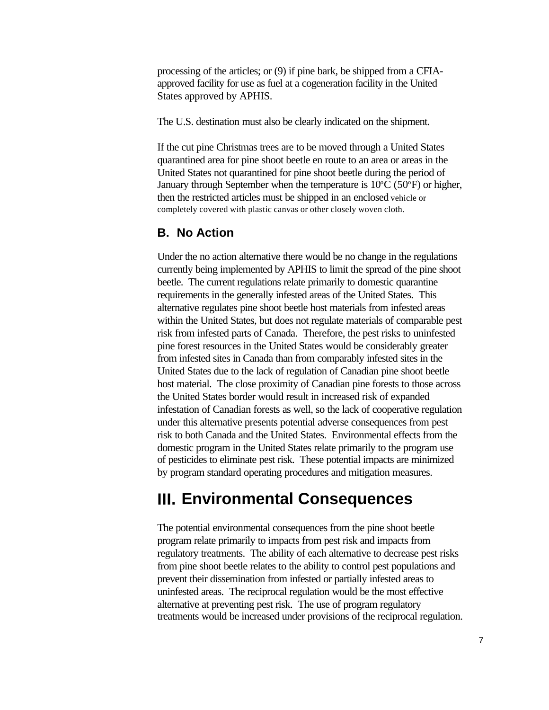processing of the articles; or (9) if pine bark, be shipped from a CFIAapproved facility for use as fuel at a cogeneration facility in the United States approved by APHIS.

The U.S. destination must also be clearly indicated on the shipment.

If the cut pine Christmas trees are to be moved through a United States quarantined area for pine shoot beetle en route to an area or areas in the United States not quarantined for pine shoot beetle during the period of January through September when the temperature is  $10^{\circ}C$  (50 $^{\circ}F$ ) or higher, then the restricted articles must be shipped in an enclosed vehicle or completely covered with plastic canvas or other closely woven cloth.

#### **B. No Action**

Under the no action alternative there would be no change in the regulations currently being implemented by APHIS to limit the spread of the pine shoot beetle. The current regulations relate primarily to domestic quarantine requirements in the generally infested areas of the United States. This alternative regulates pine shoot beetle host materials from infested areas within the United States, but does not regulate materials of comparable pest risk from infested parts of Canada. Therefore, the pest risks to uninfested pine forest resources in the United States would be considerably greater from infested sites in Canada than from comparably infested sites in the United States due to the lack of regulation of Canadian pine shoot beetle host material. The close proximity of Canadian pine forests to those across the United States border would result in increased risk of expanded infestation of Canadian forests as well, so the lack of cooperative regulation under this alternative presents potential adverse consequences from pest risk to both Canada and the United States. Environmental effects from the domestic program in the United States relate primarily to the program use of pesticides to eliminate pest risk. These potential impacts are minimized by program standard operating procedures and mitigation measures.

### **III. Environmental Consequences**

The potential environmental consequences from the pine shoot beetle program relate primarily to impacts from pest risk and impacts from regulatory treatments. The ability of each alternative to decrease pest risks from pine shoot beetle relates to the ability to control pest populations and prevent their dissemination from infested or partially infested areas to uninfested areas. The reciprocal regulation would be the most effective alternative at preventing pest risk. The use of program regulatory treatments would be increased under provisions of the reciprocal regulation.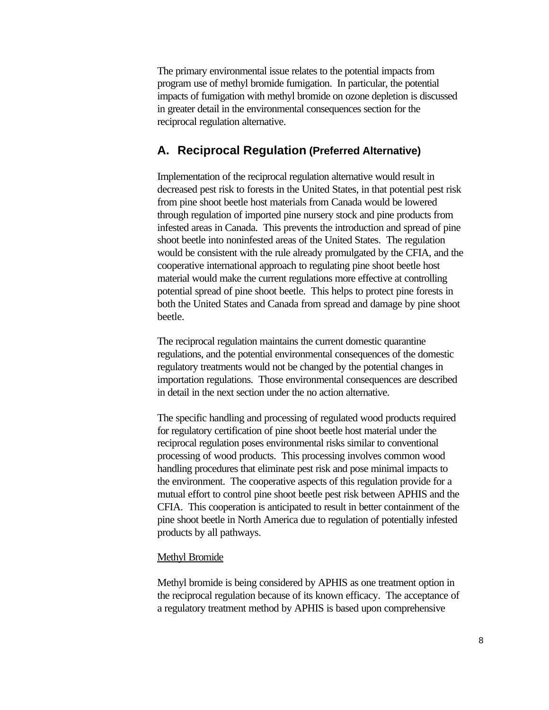The primary environmental issue relates to the potential impacts from program use of methyl bromide fumigation. In particular, the potential impacts of fumigation with methyl bromide on ozone depletion is discussed in greater detail in the environmental consequences section for the reciprocal regulation alternative.

#### **A. Reciprocal Regulation (Preferred Alternative)**

Implementation of the reciprocal regulation alternative would result in decreased pest risk to forests in the United States, in that potential pest risk from pine shoot beetle host materials from Canada would be lowered through regulation of imported pine nursery stock and pine products from infested areas in Canada. This prevents the introduction and spread of pine shoot beetle into noninfested areas of the United States. The regulation would be consistent with the rule already promulgated by the CFIA, and the cooperative international approach to regulating pine shoot beetle host material would make the current regulations more effective at controlling potential spread of pine shoot beetle. This helps to protect pine forests in both the United States and Canada from spread and damage by pine shoot beetle.

The reciprocal regulation maintains the current domestic quarantine regulations, and the potential environmental consequences of the domestic regulatory treatments would not be changed by the potential changes in importation regulations. Those environmental consequences are described in detail in the next section under the no action alternative.

The specific handling and processing of regulated wood products required for regulatory certification of pine shoot beetle host material under the reciprocal regulation poses environmental risks similar to conventional processing of wood products. This processing involves common wood handling procedures that eliminate pest risk and pose minimal impacts to the environment. The cooperative aspects of this regulation provide for a mutual effort to control pine shoot beetle pest risk between APHIS and the CFIA. This cooperation is anticipated to result in better containment of the pine shoot beetle in North America due to regulation of potentially infested products by all pathways.

#### Methyl Bromide

Methyl bromide is being considered by APHIS as one treatment option in the reciprocal regulation because of its known efficacy. The acceptance of a regulatory treatment method by APHIS is based upon comprehensive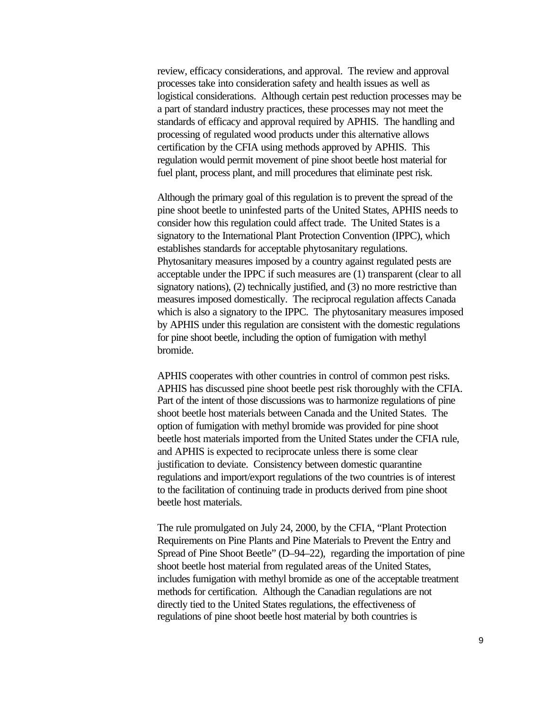review, efficacy considerations, and approval. The review and approval processes take into consideration safety and health issues as well as logistical considerations. Although certain pest reduction processes may be a part of standard industry practices, these processes may not meet the standards of efficacy and approval required by APHIS. The handling and processing of regulated wood products under this alternative allows certification by the CFIA using methods approved by APHIS. This regulation would permit movement of pine shoot beetle host material for fuel plant, process plant, and mill procedures that eliminate pest risk.

Although the primary goal of this regulation is to prevent the spread of the pine shoot beetle to uninfested parts of the United States, APHIS needs to consider how this regulation could affect trade. The United States is a signatory to the International Plant Protection Convention (IPPC), which establishes standards for acceptable phytosanitary regulations. Phytosanitary measures imposed by a country against regulated pests are acceptable under the IPPC if such measures are (1) transparent (clear to all signatory nations), (2) technically justified, and (3) no more restrictive than measures imposed domestically. The reciprocal regulation affects Canada which is also a signatory to the IPPC. The phytosanitary measures imposed by APHIS under this regulation are consistent with the domestic regulations for pine shoot beetle, including the option of fumigation with methyl bromide.

APHIS cooperates with other countries in control of common pest risks. APHIS has discussed pine shoot beetle pest risk thoroughly with the CFIA. Part of the intent of those discussions was to harmonize regulations of pine shoot beetle host materials between Canada and the United States. The option of fumigation with methyl bromide was provided for pine shoot beetle host materials imported from the United States under the CFIA rule, and APHIS is expected to reciprocate unless there is some clear justification to deviate. Consistency between domestic quarantine regulations and import/export regulations of the two countries is of interest to the facilitation of continuing trade in products derived from pine shoot beetle host materials.

The rule promulgated on July 24, 2000, by the CFIA, "Plant Protection Requirements on Pine Plants and Pine Materials to Prevent the Entry and Spread of Pine Shoot Beetle" (D–94–22), regarding the importation of pine shoot beetle host material from regulated areas of the United States, includes fumigation with methyl bromide as one of the acceptable treatment methods for certification. Although the Canadian regulations are not directly tied to the United States regulations, the effectiveness of regulations of pine shoot beetle host material by both countries is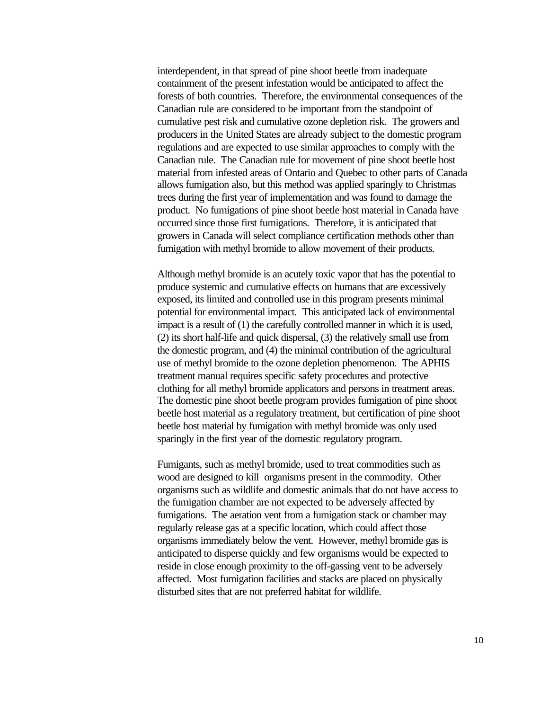interdependent, in that spread of pine shoot beetle from inadequate containment of the present infestation would be anticipated to affect the forests of both countries. Therefore, the environmental consequences of the Canadian rule are considered to be important from the standpoint of cumulative pest risk and cumulative ozone depletion risk. The growers and producers in the United States are already subject to the domestic program regulations and are expected to use similar approaches to comply with the Canadian rule. The Canadian rule for movement of pine shoot beetle host material from infested areas of Ontario and Quebec to other parts of Canada allows fumigation also, but this method was applied sparingly to Christmas trees during the first year of implementation and was found to damage the product. No fumigations of pine shoot beetle host material in Canada have occurred since those first fumigations. Therefore, it is anticipated that growers in Canada will select compliance certification methods other than fumigation with methyl bromide to allow movement of their products.

Although methyl bromide is an acutely toxic vapor that has the potential to produce systemic and cumulative effects on humans that are excessively exposed, its limited and controlled use in this program presents minimal potential for environmental impact. This anticipated lack of environmental impact is a result of (1) the carefully controlled manner in which it is used, (2) its short half-life and quick dispersal, (3) the relatively small use from the domestic program, and (4) the minimal contribution of the agricultural use of methyl bromide to the ozone depletion phenomenon. The APHIS treatment manual requires specific safety procedures and protective clothing for all methyl bromide applicators and persons in treatment areas. The domestic pine shoot beetle program provides fumigation of pine shoot beetle host material as a regulatory treatment, but certification of pine shoot beetle host material by fumigation with methyl bromide was only used sparingly in the first year of the domestic regulatory program.

Fumigants, such as methyl bromide, used to treat commodities such as wood are designed to kill organisms present in the commodity. Other organisms such as wildlife and domestic animals that do not have access to the fumigation chamber are not expected to be adversely affected by fumigations. The aeration vent from a fumigation stack or chamber may regularly release gas at a specific location, which could affect those organisms immediately below the vent. However, methyl bromide gas is anticipated to disperse quickly and few organisms would be expected to reside in close enough proximity to the off-gassing vent to be adversely affected. Most fumigation facilities and stacks are placed on physically disturbed sites that are not preferred habitat for wildlife.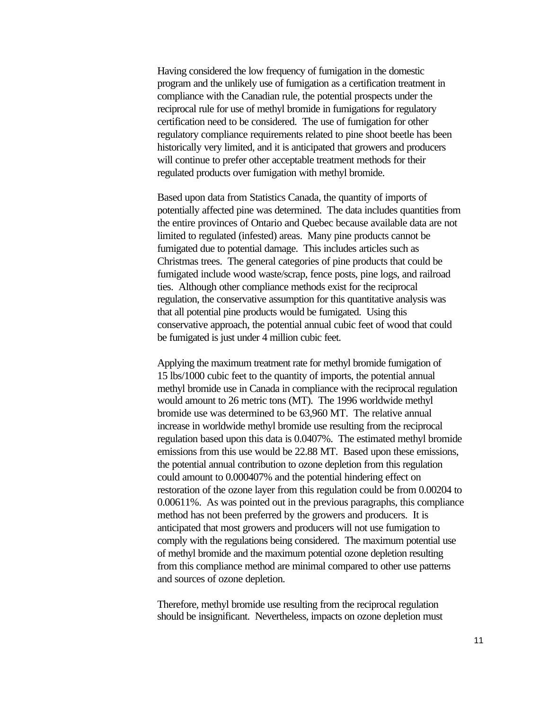Having considered the low frequency of fumigation in the domestic program and the unlikely use of fumigation as a certification treatment in compliance with the Canadian rule, the potential prospects under the reciprocal rule for use of methyl bromide in fumigations for regulatory certification need to be considered. The use of fumigation for other regulatory compliance requirements related to pine shoot beetle has been historically very limited, and it is anticipated that growers and producers will continue to prefer other acceptable treatment methods for their regulated products over fumigation with methyl bromide.

Based upon data from Statistics Canada, the quantity of imports of potentially affected pine was determined. The data includes quantities from the entire provinces of Ontario and Quebec because available data are not limited to regulated (infested) areas. Many pine products cannot be fumigated due to potential damage. This includes articles such as Christmas trees. The general categories of pine products that could be fumigated include wood waste/scrap, fence posts, pine logs, and railroad ties. Although other compliance methods exist for the reciprocal regulation, the conservative assumption for this quantitative analysis was that all potential pine products would be fumigated. Using this conservative approach, the potential annual cubic feet of wood that could be fumigated is just under 4 million cubic feet.

Applying the maximum treatment rate for methyl bromide fumigation of 15 lbs/1000 cubic feet to the quantity of imports, the potential annual methyl bromide use in Canada in compliance with the reciprocal regulation would amount to 26 metric tons (MT). The 1996 worldwide methyl bromide use was determined to be 63,960 MT. The relative annual increase in worldwide methyl bromide use resulting from the reciprocal regulation based upon this data is 0.0407%. The estimated methyl bromide emissions from this use would be 22.88 MT. Based upon these emissions, the potential annual contribution to ozone depletion from this regulation could amount to 0.000407% and the potential hindering effect on restoration of the ozone layer from this regulation could be from 0.00204 to 0.00611%. As was pointed out in the previous paragraphs, this compliance method has not been preferred by the growers and producers. It is anticipated that most growers and producers will not use fumigation to comply with the regulations being considered. The maximum potential use of methyl bromide and the maximum potential ozone depletion resulting from this compliance method are minimal compared to other use patterns and sources of ozone depletion.

Therefore, methyl bromide use resulting from the reciprocal regulation should be insignificant. Nevertheless, impacts on ozone depletion must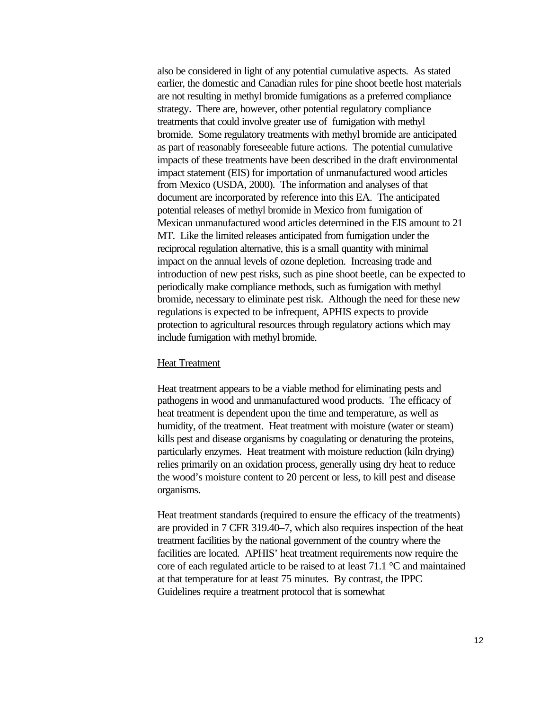also be considered in light of any potential cumulative aspects. As stated earlier, the domestic and Canadian rules for pine shoot beetle host materials are not resulting in methyl bromide fumigations as a preferred compliance strategy. There are, however, other potential regulatory compliance treatments that could involve greater use of fumigation with methyl bromide. Some regulatory treatments with methyl bromide are anticipated as part of reasonably foreseeable future actions. The potential cumulative impacts of these treatments have been described in the draft environmental impact statement (EIS) for importation of unmanufactured wood articles from Mexico (USDA, 2000). The information and analyses of that document are incorporated by reference into this EA. The anticipated potential releases of methyl bromide in Mexico from fumigation of Mexican unmanufactured wood articles determined in the EIS amount to 21 MT. Like the limited releases anticipated from fumigation under the reciprocal regulation alternative, this is a small quantity with minimal impact on the annual levels of ozone depletion. Increasing trade and introduction of new pest risks, such as pine shoot beetle, can be expected to periodically make compliance methods, such as fumigation with methyl bromide, necessary to eliminate pest risk. Although the need for these new regulations is expected to be infrequent, APHIS expects to provide protection to agricultural resources through regulatory actions which may include fumigation with methyl bromide.

#### Heat Treatment

Heat treatment appears to be a viable method for eliminating pests and pathogens in wood and unmanufactured wood products. The efficacy of heat treatment is dependent upon the time and temperature, as well as humidity, of the treatment. Heat treatment with moisture (water or steam) kills pest and disease organisms by coagulating or denaturing the proteins, particularly enzymes. Heat treatment with moisture reduction (kiln drying) relies primarily on an oxidation process, generally using dry heat to reduce the wood's moisture content to 20 percent or less, to kill pest and disease organisms.

Heat treatment standards (required to ensure the efficacy of the treatments) are provided in 7 CFR 319.40–7, which also requires inspection of the heat treatment facilities by the national government of the country where the facilities are located. APHIS' heat treatment requirements now require the core of each regulated article to be raised to at least 71.1 °C and maintained at that temperature for at least 75 minutes. By contrast, the IPPC Guidelines require a treatment protocol that is somewhat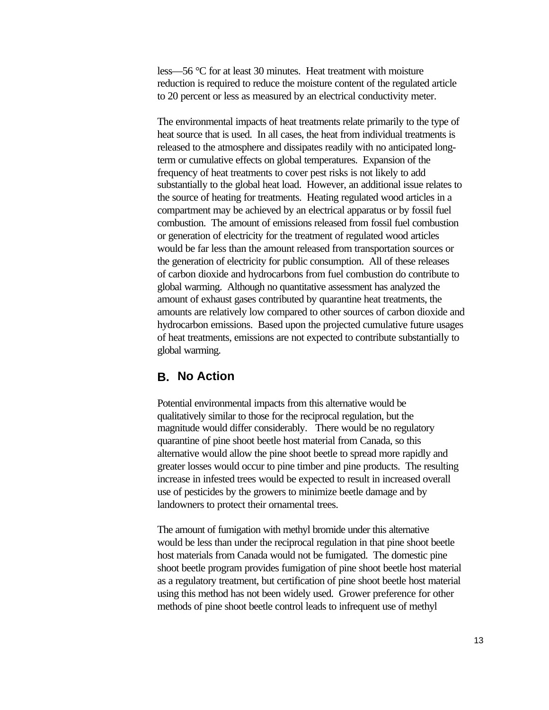less—56 °C for at least 30 minutes. Heat treatment with moisture reduction is required to reduce the moisture content of the regulated article to 20 percent or less as measured by an electrical conductivity meter.

The environmental impacts of heat treatments relate primarily to the type of heat source that is used. In all cases, the heat from individual treatments is released to the atmosphere and dissipates readily with no anticipated longterm or cumulative effects on global temperatures. Expansion of the frequency of heat treatments to cover pest risks is not likely to add substantially to the global heat load. However, an additional issue relates to the source of heating for treatments. Heating regulated wood articles in a compartment may be achieved by an electrical apparatus or by fossil fuel combustion. The amount of emissions released from fossil fuel combustion or generation of electricity for the treatment of regulated wood articles would be far less than the amount released from transportation sources or the generation of electricity for public consumption. All of these releases of carbon dioxide and hydrocarbons from fuel combustion do contribute to global warming. Although no quantitative assessment has analyzed the amount of exhaust gases contributed by quarantine heat treatments, the amounts are relatively low compared to other sources of carbon dioxide and hydrocarbon emissions. Based upon the projected cumulative future usages of heat treatments, emissions are not expected to contribute substantially to global warming.

#### **B. No Action**

Potential environmental impacts from this alternative would be qualitatively similar to those for the reciprocal regulation, but the magnitude would differ considerably. There would be no regulatory quarantine of pine shoot beetle host material from Canada, so this alternative would allow the pine shoot beetle to spread more rapidly and greater losses would occur to pine timber and pine products. The resulting increase in infested trees would be expected to result in increased overall use of pesticides by the growers to minimize beetle damage and by landowners to protect their ornamental trees.

The amount of fumigation with methyl bromide under this alternative would be less than under the reciprocal regulation in that pine shoot beetle host materials from Canada would not be fumigated. The domestic pine shoot beetle program provides fumigation of pine shoot beetle host material as a regulatory treatment, but certification of pine shoot beetle host material using this method has not been widely used. Grower preference for other methods of pine shoot beetle control leads to infrequent use of methyl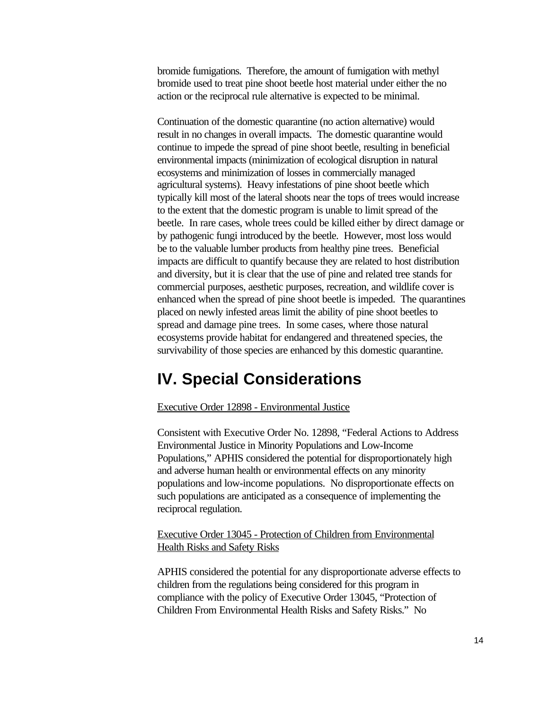bromide fumigations. Therefore, the amount of fumigation with methyl bromide used to treat pine shoot beetle host material under either the no action or the reciprocal rule alternative is expected to be minimal.

Continuation of the domestic quarantine (no action alternative) would result in no changes in overall impacts. The domestic quarantine would continue to impede the spread of pine shoot beetle, resulting in beneficial environmental impacts (minimization of ecological disruption in natural ecosystems and minimization of losses in commercially managed agricultural systems). Heavy infestations of pine shoot beetle which typically kill most of the lateral shoots near the tops of trees would increase to the extent that the domestic program is unable to limit spread of the beetle. In rare cases, whole trees could be killed either by direct damage or by pathogenic fungi introduced by the beetle. However, most loss would be to the valuable lumber products from healthy pine trees. Beneficial impacts are difficult to quantify because they are related to host distribution and diversity, but it is clear that the use of pine and related tree stands for commercial purposes, aesthetic purposes, recreation, and wildlife cover is enhanced when the spread of pine shoot beetle is impeded. The quarantines placed on newly infested areas limit the ability of pine shoot beetles to spread and damage pine trees. In some cases, where those natural ecosystems provide habitat for endangered and threatened species, the survivability of those species are enhanced by this domestic quarantine.

### **IV. Special Considerations**

#### Executive Order 12898 - Environmental Justice

Consistent with Executive Order No. 12898, "Federal Actions to Address Environmental Justice in Minority Populations and Low-Income Populations," APHIS considered the potential for disproportionately high and adverse human health or environmental effects on any minority populations and low-income populations. No disproportionate effects on such populations are anticipated as a consequence of implementing the reciprocal regulation.

Executive Order 13045 - Protection of Children from Environmental Health Risks and Safety Risks

APHIS considered the potential for any disproportionate adverse effects to children from the regulations being considered for this program in compliance with the policy of Executive Order 13045, "Protection of Children From Environmental Health Risks and Safety Risks." No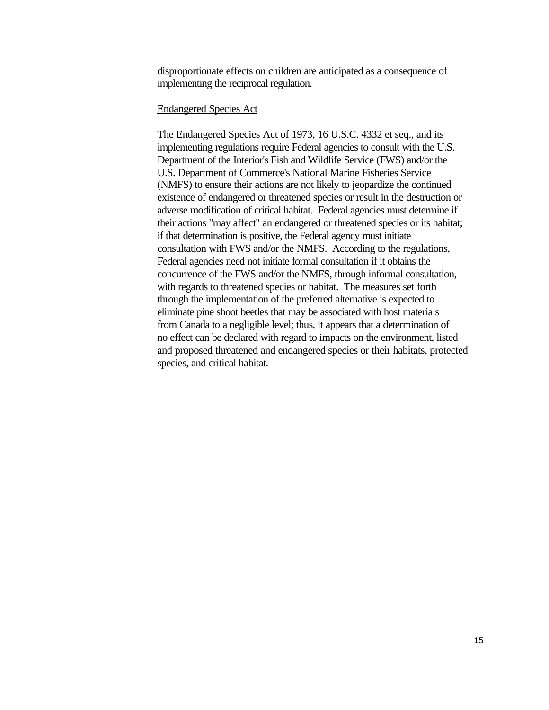disproportionate effects on children are anticipated as a consequence of implementing the reciprocal regulation.

#### Endangered Species Act

The Endangered Species Act of 1973, 16 U.S.C. 4332 et seq., and its implementing regulations require Federal agencies to consult with the U.S. Department of the Interior's Fish and Wildlife Service (FWS) and/or the U.S. Department of Commerce's National Marine Fisheries Service (NMFS) to ensure their actions are not likely to jeopardize the continued existence of endangered or threatened species or result in the destruction or adverse modification of critical habitat. Federal agencies must determine if their actions "may affect" an endangered or threatened species or its habitat; if that determination is positive, the Federal agency must initiate consultation with FWS and/or the NMFS. According to the regulations, Federal agencies need not initiate formal consultation if it obtains the concurrence of the FWS and/or the NMFS, through informal consultation, with regards to threatened species or habitat. The measures set forth through the implementation of the preferred alternative is expected to eliminate pine shoot beetles that may be associated with host materials from Canada to a negligible level; thus, it appears that a determination of no effect can be declared with regard to impacts on the environment, listed and proposed threatened and endangered species or their habitats, protected species, and critical habitat.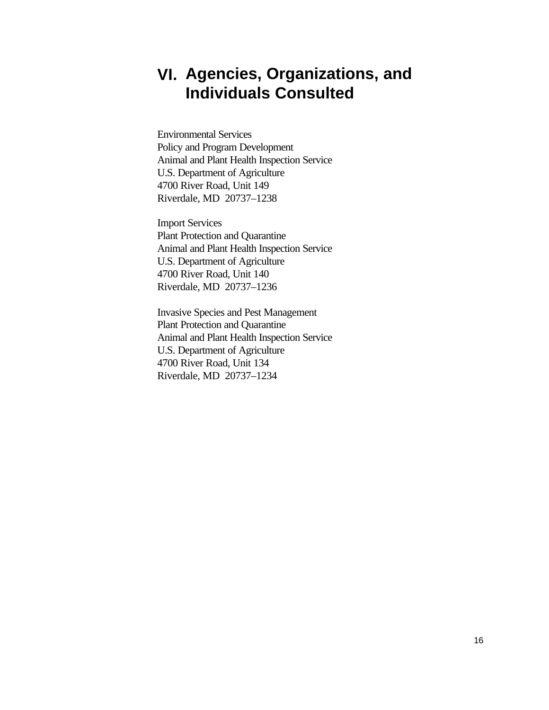### **VI. Agencies, Organizations, and Individuals Consulted**

Environmental Services Policy and Program Development Animal and Plant Health Inspection Service U.S. Department of Agriculture 4700 River Road, Unit 149 Riverdale, MD 20737–1238

Import Services Plant Protection and Quarantine Animal and Plant Health Inspection Service U.S. Department of Agriculture 4700 River Road, Unit 140 Riverdale, MD 20737–1236

Invasive Species and Pest Management Plant Protection and Quarantine Animal and Plant Health Inspection Service U.S. Department of Agriculture 4700 River Road, Unit 134 Riverdale, MD 20737–1234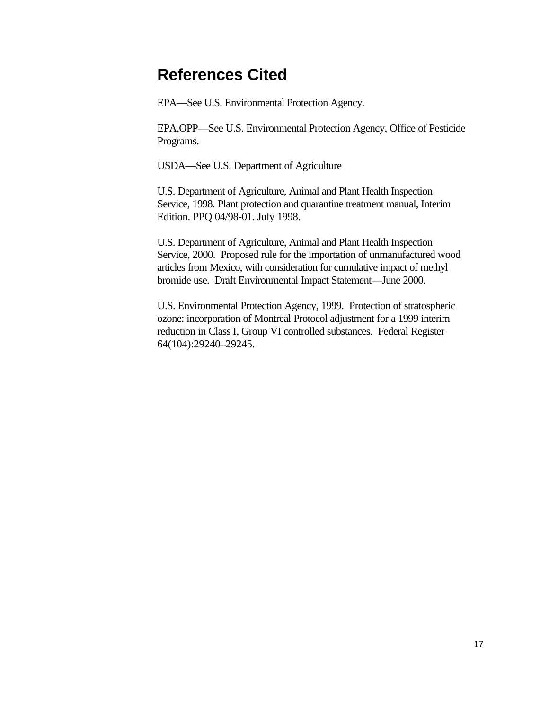### **References Cited**

EPA—See U.S. Environmental Protection Agency.

EPA,OPP—See U.S. Environmental Protection Agency, Office of Pesticide Programs.

USDA—See U.S. Department of Agriculture

U.S. Department of Agriculture, Animal and Plant Health Inspection Service, 1998. Plant protection and quarantine treatment manual, Interim Edition. PPQ 04/98-01. July 1998.

U.S. Department of Agriculture, Animal and Plant Health Inspection Service, 2000. Proposed rule for the importation of unmanufactured wood articles from Mexico, with consideration for cumulative impact of methyl bromide use. Draft Environmental Impact Statement—June 2000.

U.S. Environmental Protection Agency, 1999. Protection of stratospheric ozone: incorporation of Montreal Protocol adjustment for a 1999 interim reduction in Class I, Group VI controlled substances. Federal Register 64(104):29240–29245.